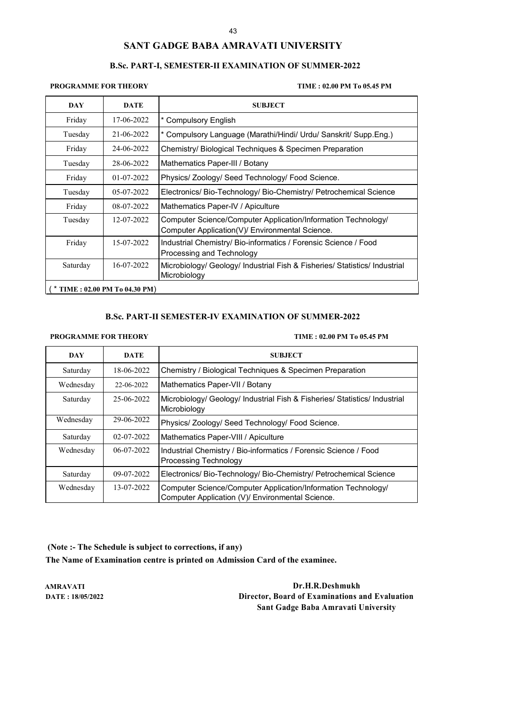# **SANT GADGE BABA AMRAVATI UNIVERSITY**

### **B.Sc. PART-I, SEMESTER-II EXAMINATION OF SUMMER-2022**

**PROGRAMME FOR THEORY TIME : 02.00 PM To 05.45 PM**

| <b>DAY</b>                  | <b>DATE</b> | <b>SUBJECT</b>                                                                                                   |  |  |
|-----------------------------|-------------|------------------------------------------------------------------------------------------------------------------|--|--|
| Friday                      | 17-06-2022  | * Compulsory English                                                                                             |  |  |
| Tuesday                     | 21-06-2022  | * Compulsory Language (Marathi/Hindi/ Urdu/ Sanskrit/ Supp.Eng.)                                                 |  |  |
| Friday                      | 24-06-2022  | Chemistry/ Biological Techniques & Specimen Preparation                                                          |  |  |
| Tuesday                     | 28-06-2022  | Mathematics Paper-III / Botany                                                                                   |  |  |
| Friday                      | 01-07-2022  | Physics/ Zoology/ Seed Technology/ Food Science.                                                                 |  |  |
| Tuesday                     | 05-07-2022  | Electronics/ Bio-Technology/ Bio-Chemistry/ Petrochemical Science                                                |  |  |
| Friday                      | 08-07-2022  | Mathematics Paper-IV / Apiculture                                                                                |  |  |
| Tuesday                     | 12-07-2022  | Computer Science/Computer Application/Information Technology/<br>Computer Application(V)/ Environmental Science. |  |  |
| Friday                      | 15-07-2022  | Industrial Chemistry/ Bio-informatics / Forensic Science / Food<br>Processing and Technology                     |  |  |
| Saturday                    | 16-07-2022  | Microbiology/ Geology/ Industrial Fish & Fisheries/ Statistics/ Industrial<br>Microbiology                       |  |  |
| TIME: 02.00 PM To 04.30 PM) |             |                                                                                                                  |  |  |

# **B.Sc. PART-II SEMESTER-IV EXAMINATION OF SUMMER-2022**

### **PROGRAMME FOR THEORY TIME : 02.00 PM To 05.45 PM**

| <b>DAY</b> | <b>DATE</b>  | <b>SUBJECT</b>                                                                                                    |
|------------|--------------|-------------------------------------------------------------------------------------------------------------------|
| Saturday   | 18-06-2022   | Chemistry / Biological Techniques & Specimen Preparation                                                          |
| Wednesday  | 22-06-2022   | Mathematics Paper-VII / Botany                                                                                    |
| Saturday   | 25-06-2022   | Microbiology/ Geology/ Industrial Fish & Fisheries/ Statistics/ Industrial<br>Microbiology                        |
| Wednesday  | 29-06-2022   | Physics/Zoology/Seed Technology/Food Science.                                                                     |
| Saturday   | 02-07-2022   | Mathematics Paper-VIII / Apiculture                                                                               |
| Wednesday  | $06-07-2022$ | Industrial Chemistry / Bio-informatics / Forensic Science / Food<br>Processing Technology                         |
| Saturday   | 09-07-2022   | Electronics/ Bio-Technology/ Bio-Chemistry/ Petrochemical Science                                                 |
| Wednesday  | 13-07-2022   | Computer Science/Computer Application/Information Technology/<br>Computer Application (V)/ Environmental Science. |

**(Note :- The Schedule is subject to corrections, if any) The Name of Examination centre is printed on Admission Card of the examinee.**

**AMRAVATI Dr.H.R.Deshmukh DATE : 18/05/2022 Director, Board of Examinations and Evaluation Sant Gadge Baba Amravati University**